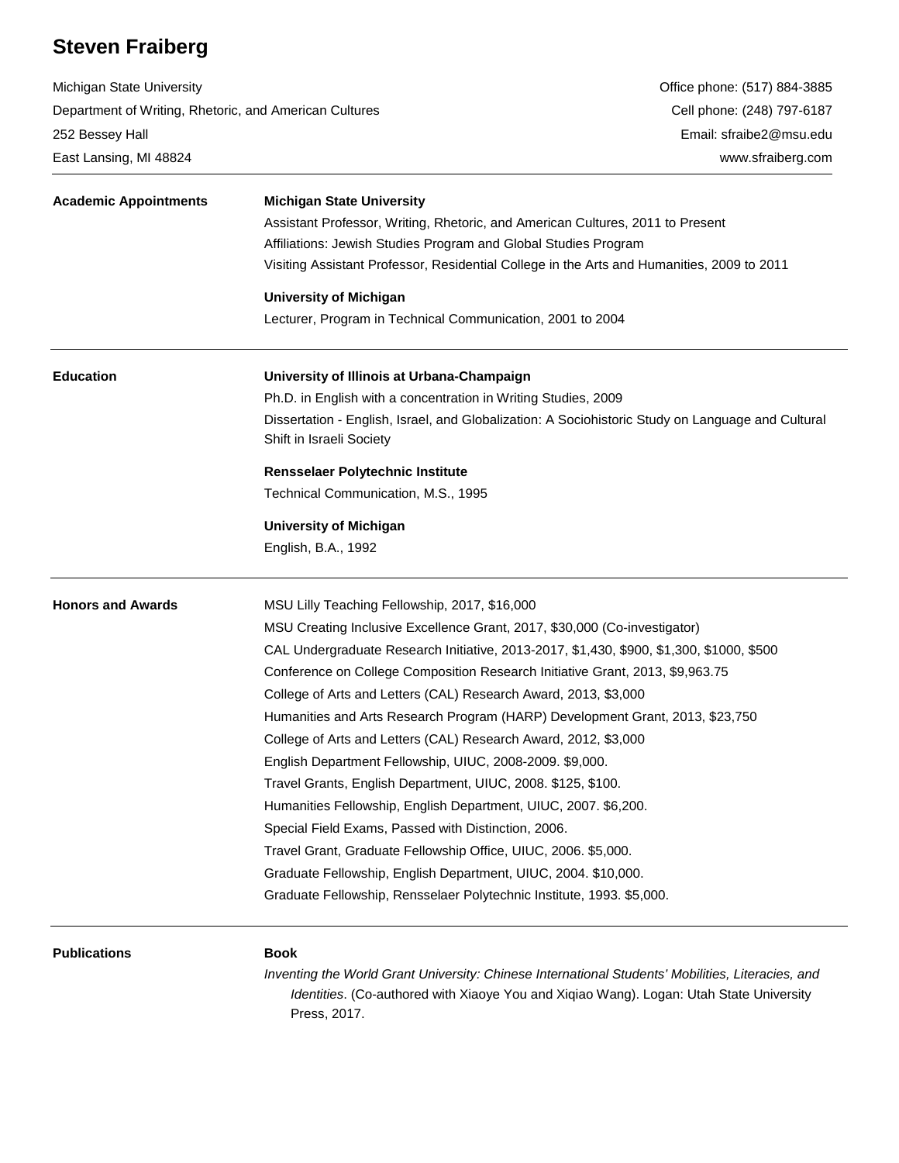# **Steven Fraiberg**

Michigan State University Department of Writing, Rhetoric, and American Cultures 252 Bessey Hall East Lansing, MI 48824

| <b>Academic Appointments</b> | <b>Michigan State University</b>                                                                                              |
|------------------------------|-------------------------------------------------------------------------------------------------------------------------------|
|                              | Assistant Professor, Writing, Rhetoric, and American Cultures, 2011 to Present                                                |
|                              | Affiliations: Jewish Studies Program and Global Studies Program                                                               |
|                              | Visiting Assistant Professor, Residential College in the Arts and Humanities, 2009 to 2011                                    |
|                              | <b>University of Michigan</b>                                                                                                 |
|                              | Lecturer, Program in Technical Communication, 2001 to 2004                                                                    |
| <b>Education</b>             | University of Illinois at Urbana-Champaign                                                                                    |
|                              | Ph.D. in English with a concentration in Writing Studies, 2009                                                                |
|                              | Dissertation - English, Israel, and Globalization: A Sociohistoric Study on Language and Cultural<br>Shift in Israeli Society |
|                              | Rensselaer Polytechnic Institute                                                                                              |
|                              | Technical Communication, M.S., 1995                                                                                           |
|                              | <b>University of Michigan</b>                                                                                                 |
|                              | English, B.A., 1992                                                                                                           |
| <b>Honors and Awards</b>     | MSU Lilly Teaching Fellowship, 2017, \$16,000                                                                                 |
|                              | MSU Creating Inclusive Excellence Grant, 2017, \$30,000 (Co-investigator)                                                     |
|                              | CAL Undergraduate Research Initiative, 2013-2017, \$1,430, \$900, \$1,300, \$1000, \$500                                      |
|                              | Conference on College Composition Research Initiative Grant, 2013, \$9,963.75                                                 |
|                              | College of Arts and Letters (CAL) Research Award, 2013, \$3,000                                                               |
|                              | Humanities and Arts Research Program (HARP) Development Grant, 2013, \$23,750                                                 |
|                              | College of Arts and Letters (CAL) Research Award, 2012, \$3,000                                                               |
|                              | English Department Fellowship, UIUC, 2008-2009. \$9,000.                                                                      |
|                              | Travel Grants, English Department, UIUC, 2008. \$125, \$100.                                                                  |
|                              | Humanities Fellowship, English Department, UIUC, 2007. \$6,200.                                                               |
|                              | Special Field Exams, Passed with Distinction, 2006.                                                                           |
|                              | Travel Grant, Graduate Fellowship Office, UIUC, 2006. \$5,000.                                                                |
|                              | Graduate Fellowship, English Department, UIUC, 2004. \$10,000.                                                                |
|                              | Graduate Fellowship, Rensselaer Polytechnic Institute, 1993. \$5,000.                                                         |
| <b>Publications</b>          | <b>Book</b>                                                                                                                   |

*Inventing the World Grant University: Chinese International Students' Mobilities, Literacies, and Identities*. (Co-authored with Xiaoye You and Xiqiao Wang). Logan: Utah State University Press, 2017.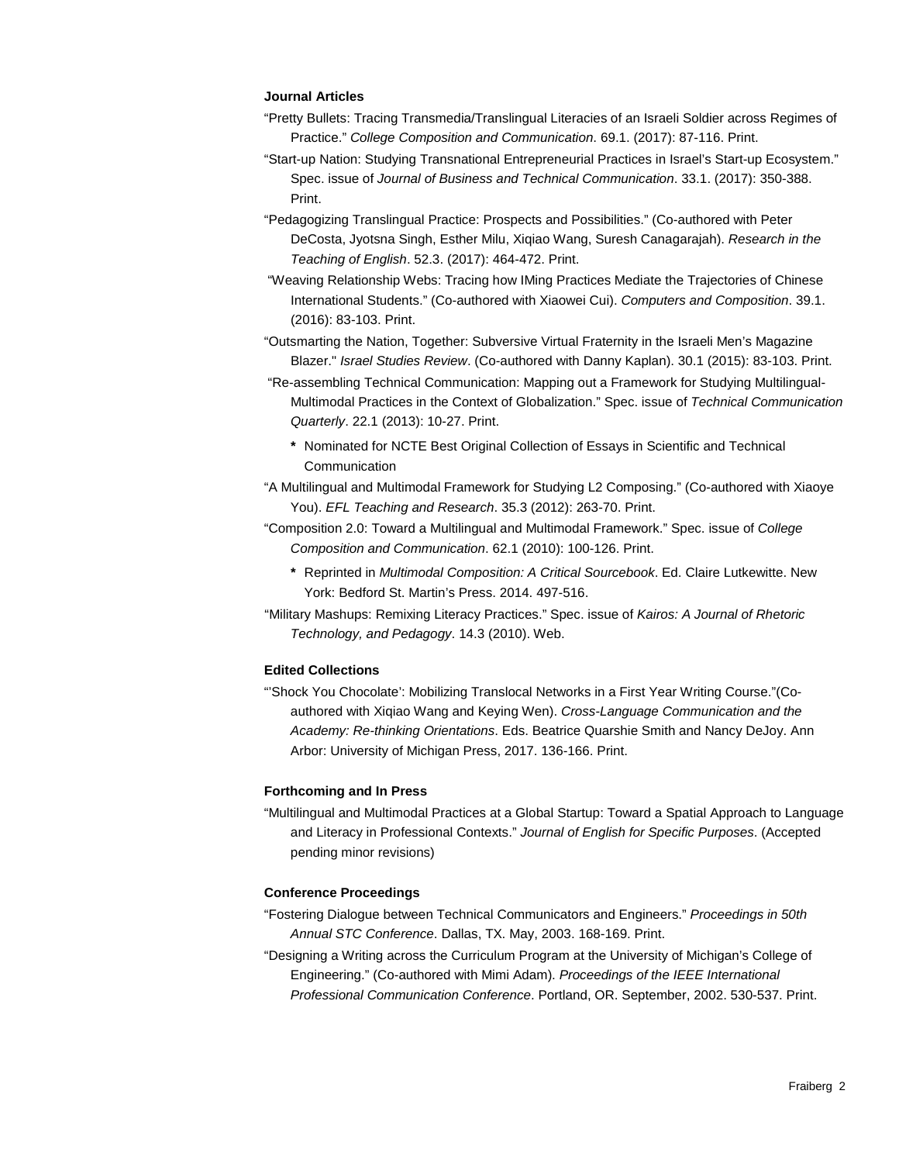# **Journal Articles**

- "Pretty Bullets: Tracing Transmedia/Translingual Literacies of an Israeli Soldier across Regimes of Practice." *College Composition and Communication*. 69.1. (2017): 87-116. Print.
- "Start-up Nation: Studying Transnational Entrepreneurial Practices in Israel's Start-up Ecosystem." Spec. issue of *Journal of Business and Technical Communication*. 33.1. (2017): 350-388. Print.
- "Pedagogizing Translingual Practice: Prospects and Possibilities." (Co-authored with Peter DeCosta, Jyotsna Singh, Esther Milu, Xiqiao Wang, Suresh Canagarajah). *Research in the Teaching of English*. 52.3. (2017): 464-472. Print.
- "Weaving Relationship Webs: Tracing how IMing Practices Mediate the Trajectories of Chinese International Students." (Co-authored with Xiaowei Cui). *Computers and Composition*. 39.1. (2016): 83-103. Print.
- "Outsmarting the Nation, Together: Subversive Virtual Fraternity in the Israeli Men's Magazine Blazer." *Israel Studies Review*. (Co-authored with Danny Kaplan). 30.1 (2015): 83-103. Print.
- "Re-assembling Technical Communication: Mapping out a Framework for Studying Multilingual-Multimodal Practices in the Context of Globalization." Spec. issue of *Technical Communication Quarterly*. 22.1 (2013): 10-27. Print.
	- **\*** Nominated for NCTE Best Original Collection of Essays in Scientific and Technical Communication
- "A Multilingual and Multimodal Framework for Studying L2 Composing." (Co-authored with Xiaoye You). *EFL Teaching and Research*. 35.3 (2012): 263-70. Print.
- "Composition 2.0: Toward a Multilingual and Multimodal Framework." Spec. issue of *College Composition and Communication*. 62.1 (2010): 100-126. Print.
	- **\*** Reprinted in *Multimodal Composition: A Critical Sourcebook*. Ed. Claire Lutkewitte. New York: Bedford St. Martin's Press. 2014. 497-516.
- "Military Mashups: Remixing Literacy Practices." Spec. issue of *Kairos: A Journal of Rhetoric Technology, and Pedagogy*. 14.3 (2010). Web.

## **Edited Collections**

"'Shock You Chocolate': Mobilizing Translocal Networks in a First Year Writing Course."(Coauthored with Xiqiao Wang and Keying Wen). *Cross-Language Communication and the Academy: Re-thinking Orientations*. Eds. Beatrice Quarshie Smith and Nancy DeJoy. Ann Arbor: University of Michigan Press, 2017. 136-166. Print.

## **Forthcoming and In Press**

"Multilingual and Multimodal Practices at a Global Startup: Toward a Spatial Approach to Language and Literacy in Professional Contexts." *Journal of English for Specific Purposes*. (Accepted pending minor revisions)

## **Conference Proceedings**

- "Fostering Dialogue between Technical Communicators and Engineers." *Proceedings in 50th Annual STC Conference*. Dallas, TX. May, 2003. 168-169. Print.
- "Designing a Writing across the Curriculum Program at the University of Michigan's College of Engineering." (Co-authored with Mimi Adam). *Proceedings of the IEEE International Professional Communication Conference*. Portland, OR. September, 2002. 530-537. Print.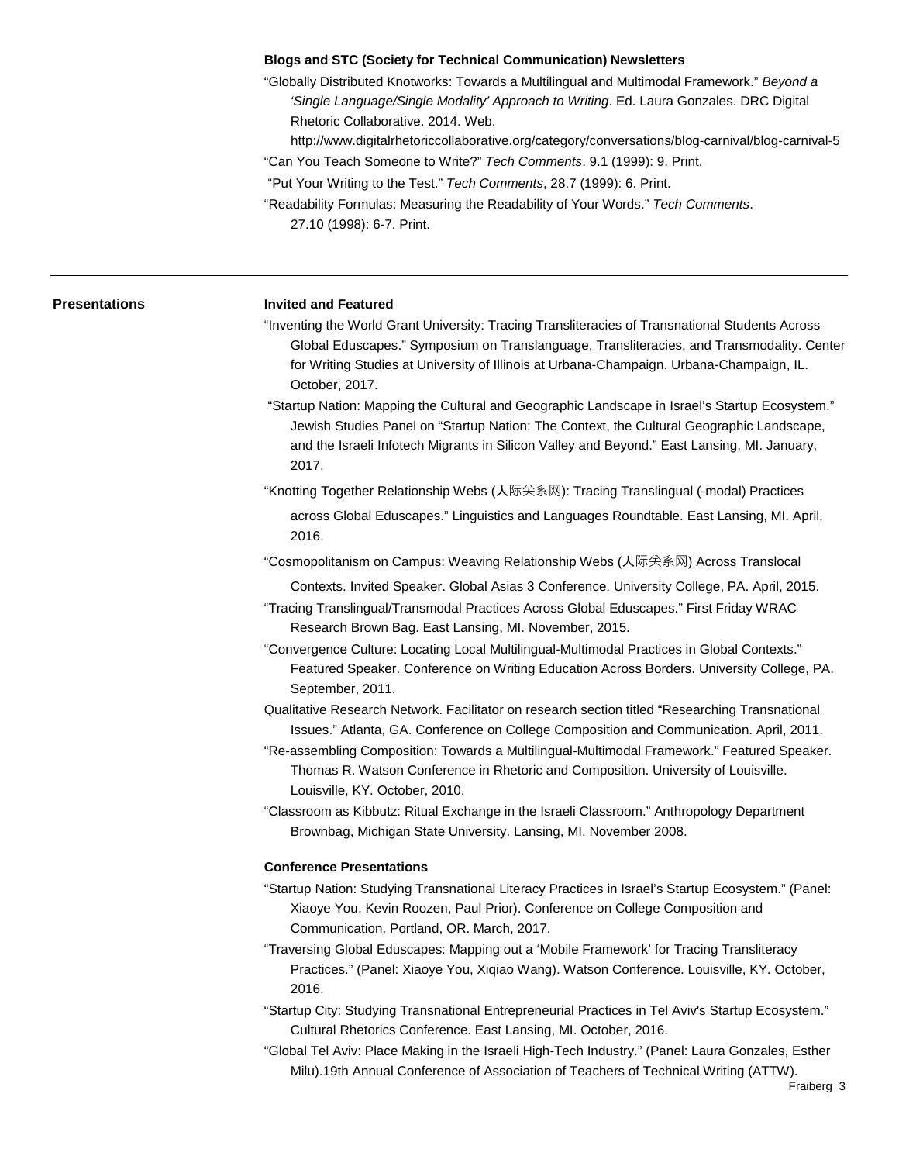# **Blogs and STC (Society for Technical Communication) Newsletters**

"Globally Distributed Knotworks: Towards a Multilingual and Multimodal Framework." *Beyond a 'Single Language/Single Modality' Approach to Writing*. Ed. Laura Gonzales. DRC Digital Rhetoric Collaborative. 2014. Web.

http://www.digitalrhetoriccollaborative.org/category/conversations/blog-carnival/blog-carnival-5 "Can You Teach Someone to Write?" *Tech Comments*. 9.1 (1999): 9. Print.

"Put Your Writing to the Test." *Tech Comments*, 28.7 (1999): 6. Print.

"Readability Formulas: Measuring the Readability of Your Words." *Tech Comments*. 27.10 (1998): 6-7. Print.

| Presentations | <b>Invited and Featured</b>                                                                                                                                                                                                                                                                                |
|---------------|------------------------------------------------------------------------------------------------------------------------------------------------------------------------------------------------------------------------------------------------------------------------------------------------------------|
|               | "Inventing the World Grant University: Tracing Transliteracies of Transnational Students Across<br>Global Eduscapes." Symposium on Translanguage, Transliteracies, and Transmodality. Center<br>for Writing Studies at University of Illinois at Urbana-Champaign. Urbana-Champaign, IL.<br>October, 2017. |
|               | "Startup Nation: Mapping the Cultural and Geographic Landscape in Israel's Startup Ecosystem."<br>Jewish Studies Panel on "Startup Nation: The Context, the Cultural Geographic Landscape,<br>and the Israeli Infotech Migrants in Silicon Valley and Beyond." East Lansing, MI. January,<br>2017.         |
|               | "Knotting Together Relationship Webs (人际关系网): Tracing Translingual (-modal) Practices                                                                                                                                                                                                                      |
|               | across Global Eduscapes." Linguistics and Languages Roundtable. East Lansing, MI. April,<br>2016.                                                                                                                                                                                                          |
|               | "Cosmopolitanism on Campus: Weaving Relationship Webs (人际关系网) Across Translocal                                                                                                                                                                                                                            |
|               | Contexts. Invited Speaker. Global Asias 3 Conference. University College, PA. April, 2015.<br>"Tracing Translingual/Transmodal Practices Across Global Eduscapes." First Friday WRAC<br>Research Brown Bag. East Lansing, MI. November, 2015.                                                              |
|               | "Convergence Culture: Locating Local Multilingual-Multimodal Practices in Global Contexts."<br>Featured Speaker. Conference on Writing Education Across Borders. University College, PA.<br>September, 2011.                                                                                               |
|               | Qualitative Research Network. Facilitator on research section titled "Researching Transnational<br>Issues." Atlanta, GA. Conference on College Composition and Communication. April, 2011.                                                                                                                 |
|               | "Re-assembling Composition: Towards a Multilingual-Multimodal Framework." Featured Speaker.<br>Thomas R. Watson Conference in Rhetoric and Composition. University of Louisville.<br>Louisville, KY. October, 2010.                                                                                        |
|               | "Classroom as Kibbutz: Ritual Exchange in the Israeli Classroom." Anthropology Department<br>Brownbag, Michigan State University. Lansing, MI. November 2008.                                                                                                                                              |
|               | <b>Conference Presentations</b>                                                                                                                                                                                                                                                                            |
|               | "Startup Nation: Studying Transnational Literacy Practices in Israel's Startup Ecosystem." (Panel:<br>Xiaoye You, Kevin Roozen, Paul Prior). Conference on College Composition and<br>Communication. Portland, OR. March, 2017.                                                                            |
|               | "Traversing Global Eduscapes: Mapping out a 'Mobile Framework' for Tracing Transliteracy<br>Practices." (Panel: Xiaoye You, Xiqiao Wang). Watson Conference. Louisville, KY. October,<br>2016.                                                                                                             |
|               | "Startup City: Studying Transnational Entrepreneurial Practices in Tel Aviv's Startup Ecosystem."<br>Cultural Rhetorics Conference. East Lansing, MI. October, 2016.                                                                                                                                       |
|               | "Clobal Tel Aviv: Dloos Making in the Jeresli High Teeh Industry" (Danal: Laure Conzeles, Esther                                                                                                                                                                                                           |

"Global Tel Aviv: Place Making in the Israeli High-Tech Industry." (Panel: Laura Gonzales, Esther Milu).19th Annual Conference of Association of Teachers of Technical Writing (ATTW).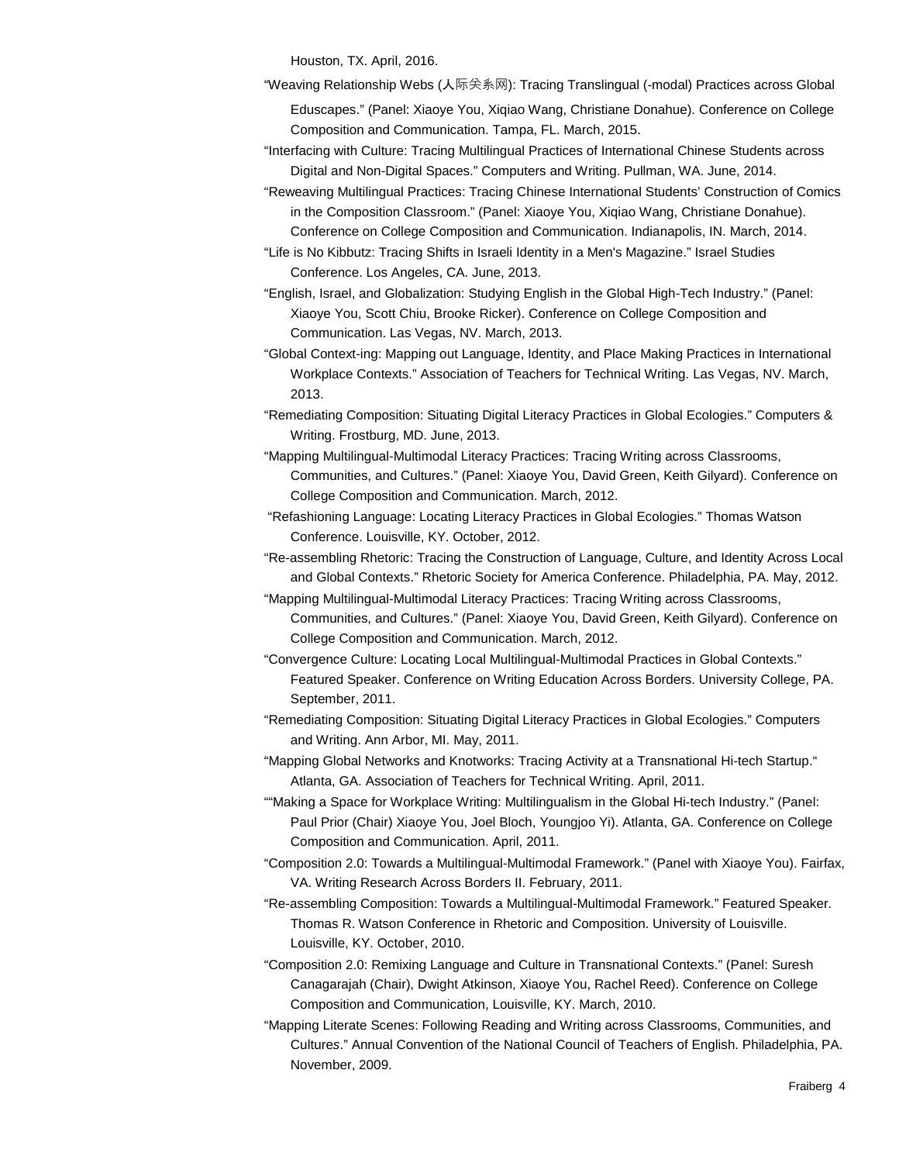Houston, TX. April, 2016.

"Weaving Relationship Webs (人际关系网): Tracing Translingual (-modal) Practices across Global

Eduscapes." (Panel: Xiaoye You, Xiqiao Wang, Christiane Donahue). Conference on College Composition and Communication. Tampa, FL. March, 2015.

["Interfacing with Culture: Tracing Multilingual Practices of International Chinese Students across](http://siteslab.org/cwcon/2014/proposal/interfacing-culture-tracing-multilingual)  [Digital and Non-Digital Spaces.](http://siteslab.org/cwcon/2014/proposal/interfacing-culture-tracing-multilingual)" Computers and Writing. Pullman, WA. June, 2014.

"Reweaving Multilingual Practices: Tracing Chinese International Students' Construction of Comics in the Composition Classroom." (Panel: Xiaoye You, Xiqiao Wang, Christiane Donahue). Conference on College Composition and Communication. Indianapolis, IN. March, 2014.

"Life is No Kibbutz: Tracing Shifts in Israeli Identity in a Men's Magazine." Israel Studies Conference. Los Angeles, CA. June, 2013.

"English, Israel, and Globalization: Studying English in the Global High-Tech Industry." (Panel: Xiaoye You, Scott Chiu, Brooke Ricker). Conference on College Composition and Communication. Las Vegas, NV. March, 2013.

"Global Context-ing: Mapping out Language, Identity, and Place Making Practices in International Workplace Contexts." Association of Teachers for Technical Writing. Las Vegas, NV. March, 2013.

"Remediating Composition: Situating Digital Literacy Practices in Global Ecologies." Computers & Writing. Frostburg, MD. June, 2013.

"Mapping Multilingual-Multimodal Literacy Practices: Tracing Writing across Classrooms, Communities, and Cultures." (Panel: Xiaoye You, David Green, Keith Gilyard). Conference on College Composition and Communication. March, 2012.

"Refashioning Language: Locating Literacy Practices in Global Ecologies." Thomas Watson Conference. Louisville, KY. October, 2012.

"Re-assembling Rhetoric: Tracing the Construction of Language, Culture, and Identity Across Local and Global Contexts." Rhetoric Society for America Conference. Philadelphia, PA. May, 2012.

"Mapping Multilingual-Multimodal Literacy Practices: Tracing Writing across Classrooms, Communities, and Cultures." (Panel: Xiaoye You, David Green, Keith Gilyard). Conference on College Composition and Communication. March, 2012.

"Convergence Culture: Locating Local Multilingual-Multimodal Practices in Global Contexts." Featured Speaker. Conference on Writing Education Across Borders. University College, PA. September, 2011.

"Remediating Composition: Situating Digital Literacy Practices in Global Ecologies." Computers and Writing. Ann Arbor, MI. May, 2011.

"Mapping Global Networks and Knotworks: Tracing Activity at a Transnational Hi-tech Startup." Atlanta, GA. Association of Teachers for Technical Writing. April, 2011.

""Making a Space for Workplace Writing: Multilingualism in the Global Hi-tech Industry." (Panel: Paul Prior (Chair) Xiaoye You, Joel Bloch, Youngjoo Yi). Atlanta, GA. Conference on College Composition and Communication. April, 2011.

"Composition 2.0: Towards a Multilingual-Multimodal Framework." (Panel with Xiaoye You). Fairfax, VA. Writing Research Across Borders II. February, 2011.

"Re-assembling Composition: Towards a Multilingual-Multimodal Framework." Featured Speaker. Thomas R. Watson Conference in Rhetoric and Composition. University of Louisville. Louisville, KY. October, 2010.

"Composition 2.0: Remixing Language and Culture in Transnational Contexts." (Panel: Suresh Canagarajah (Chair), Dwight Atkinson, Xiaoye You, Rachel Reed). Conference on College Composition and Communication, Louisville, KY. March, 2010.

"Mapping Literate Scenes: Following Reading and Writing across Classrooms, Communities, and Culture*s*." Annual Convention of the National Council of Teachers of English. Philadelphia, PA. November, 2009.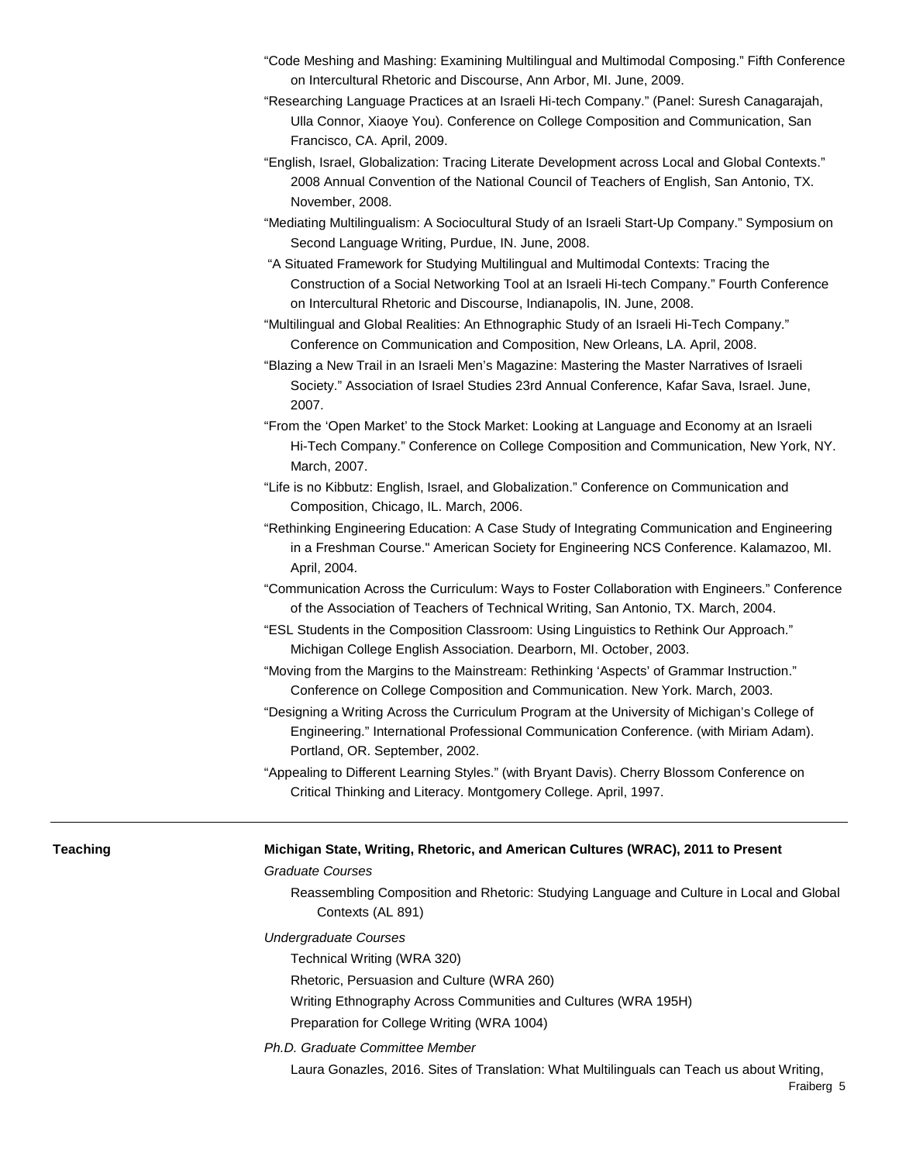- "Code Meshing and Mashing: Examining Multilingual and Multimodal Composing." Fifth Conference on Intercultural Rhetoric and Discourse, Ann Arbor, MI. June, 2009.
- "Researching Language Practices at an Israeli Hi-tech Company." (Panel: Suresh Canagarajah, Ulla Connor, Xiaoye You). Conference on College Composition and Communication, San Francisco, CA. April, 2009.
- "English, Israel, Globalization: Tracing Literate Development across Local and Global Contexts." 2008 Annual Convention of the National Council of Teachers of English, San Antonio, TX. November, 2008.
- "Mediating Multilingualism: A Sociocultural Study of an Israeli Start-Up Company." Symposium on Second Language Writing, Purdue, IN. June, 2008.
- "A Situated Framework for Studying Multilingual and Multimodal Contexts: Tracing the Construction of a Social Networking Tool at an Israeli Hi-tech Company." Fourth Conference on Intercultural Rhetoric and Discourse, Indianapolis, IN. June, 2008.
- "Multilingual and Global Realities: An Ethnographic Study of an Israeli Hi-Tech Company." Conference on Communication and Composition, New Orleans, LA. April, 2008.
- "Blazing a New Trail in an Israeli Men's Magazine: Mastering the Master Narratives of Israeli Society." Association of Israel Studies 23rd Annual Conference, Kafar Sava, Israel. June, 2007.
- "From the 'Open Market' to the Stock Market: Looking at Language and Economy at an Israeli Hi-Tech Company." Conference on College Composition and Communication, New York, NY. March, 2007.
- "Life is no Kibbutz: English, Israel, and Globalization." Conference on Communication and Composition, Chicago, IL. March, 2006.
- "Rethinking Engineering Education: A Case Study of Integrating Communication and Engineering in a Freshman Course." American Society for Engineering NCS Conference. Kalamazoo, MI. April, 2004.
- "Communication Across the Curriculum: Ways to Foster Collaboration with Engineers." Conference of the Association of Teachers of Technical Writing, San Antonio, TX. March, 2004.
- "ESL Students in the Composition Classroom: Using Linguistics to Rethink Our Approach." Michigan College English Association. Dearborn, MI. October, 2003.
- "Moving from the Margins to the Mainstream: Rethinking 'Aspects' of Grammar Instruction." Conference on College Composition and Communication. New York. March, 2003.
- "Designing a Writing Across the Curriculum Program at the University of Michigan's College of Engineering." International Professional Communication Conference. (with Miriam Adam). Portland, OR. September, 2002.
- "Appealing to Different Learning Styles." (with Bryant Davis). Cherry Blossom Conference on Critical Thinking and Literacy. Montgomery College. April, 1997.

- **Teaching Michigan State, Writing, Rhetoric, and American Cultures (WRAC), 2011 to Present** *Graduate Courses*
	- Reassembling Composition and Rhetoric: Studying Language and Culture in Local and Global Contexts (AL 891)
	- *Undergraduate Courses* 
		- Technical Writing (WRA 320)
		- Rhetoric, Persuasion and Culture (WRA 260)
		- Writing Ethnography Across Communities and Cultures (WRA 195H)
		- Preparation for College Writing (WRA 1004)
	- *Ph.D. Graduate Committee Member*
		- Laura Gonazles, 2016. Sites of Translation: What Multilinguals can Teach us about Writing,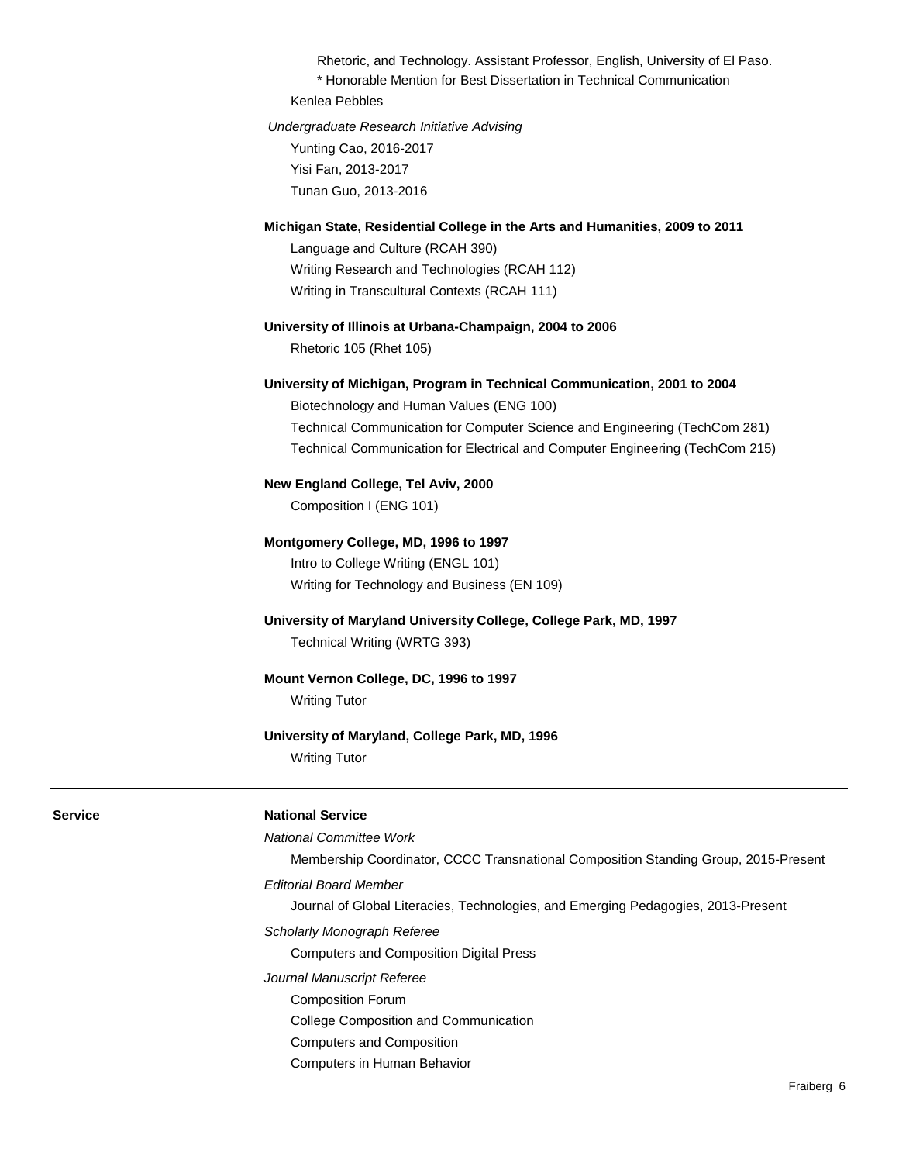Rhetoric, and Technology. Assistant Professor, English, University of El Paso. \* Honorable Mention for Best Dissertation in Technical Communication

Kenlea Pebbles

*Undergraduate Research Initiative Advising*  Yunting Cao, 2016-2017 Yisi Fan, 2013-2017 Tunan Guo, 2013-2016

### **Michigan State, Residential College in the Arts and Humanities, 2009 to 2011**

Language and Culture (RCAH 390) Writing Research and Technologies (RCAH 112) Writing in Transcultural Contexts (RCAH 111)

### **University of Illinois at Urbana-Champaign, 2004 to 2006**

Rhetoric 105 (Rhet 105)

### **University of Michigan, Program in Technical Communication, 2001 to 2004**

Biotechnology and Human Values (ENG 100) Technical Communication for Computer Science and Engineering (TechCom 281) Technical Communication for Electrical and Computer Engineering (TechCom 215)

### **New England College, Tel Aviv, 2000**

Composition I (ENG 101)

### **Montgomery College, MD, 1996 to 1997**

Intro to College Writing (ENGL 101) Writing for Technology and Business (EN 109)

# **University of Maryland University College, College Park, MD, 1997**

Technical Writing (WRTG 393)

## **Mount Vernon College, DC, 1996 to 1997**

Writing Tutor

# **University of Maryland, College Park, MD, 1996**

Writing Tutor

# **Service National Service**

### *National Committee Work*

Membership Coordinator, CCCC Transnational Composition Standing Group, 2015-Present *Editorial Board Member*

Journal of Global Literacies, Technologies, and Emerging Pedagogies, 2013-Present

*Scholarly Monograph Referee*

Computers and Composition Digital Press

- *Journal Manuscript Referee*
	- Composition Forum
	- College Composition and Communication
	- Computers and Composition
	- Computers in Human Behavior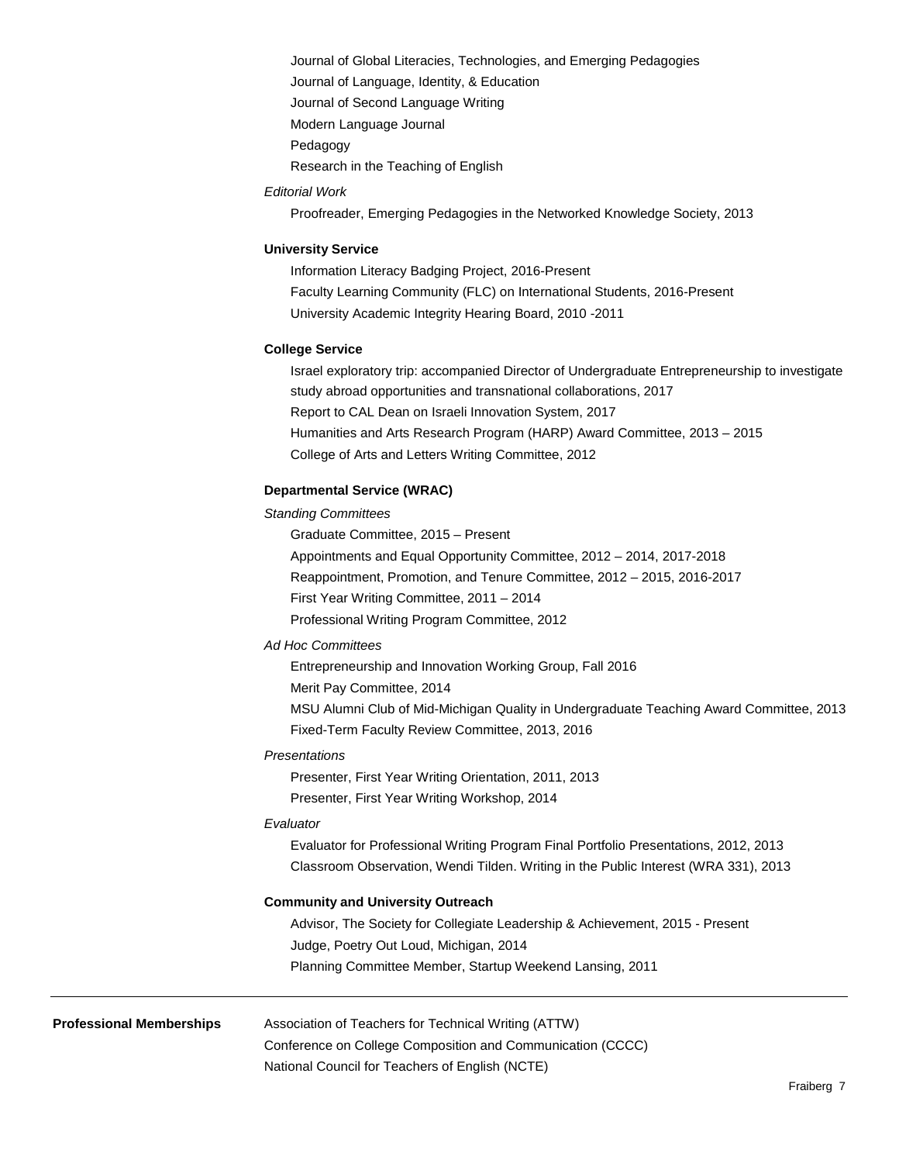Journal of Global Literacies, Technologies, and Emerging Pedagogies Journal of Language, Identity, & Education Journal of Second Language Writing Modern Language Journal Pedagogy

Research in the Teaching of English

# *Editorial Work*

Proofreader, Emerging Pedagogies in the Networked Knowledge Society, 2013

# **University Service**

Information Literacy Badging Project, 2016-Present Faculty Learning Community (FLC) on International Students, 2016-Present University Academic Integrity Hearing Board, 2010 -2011

# **College Service**

Israel exploratory trip: accompanied Director of Undergraduate Entrepreneurship to investigate study abroad opportunities and transnational collaborations, 2017 Report to CAL Dean on Israeli Innovation System, 2017 Humanities and Arts Research Program (HARP) Award Committee, 2013 – 2015 College of Arts and Letters Writing Committee, 2012

# **Departmental Service (WRAC)**

# *Standing Committees*

Graduate Committee, 2015 – Present Appointments and Equal Opportunity Committee, 2012 – 2014, 2017-2018 Reappointment, Promotion, and Tenure Committee, 2012 – 2015, 2016-2017 First Year Writing Committee, 2011 – 2014 Professional Writing Program Committee, 2012

# *Ad Hoc Committees*

Entrepreneurship and Innovation Working Group, Fall 2016 Merit Pay Committee, 2014 MSU Alumni Club of Mid-Michigan Quality in Undergraduate Teaching Award Committee, 2013 Fixed-Term Faculty Review Committee, 2013, 2016

## *Presentations*

Presenter, First Year Writing Orientation, 2011, 2013 Presenter, First Year Writing Workshop, 2014

# *Evaluator*

Evaluator for Professional Writing Program Final Portfolio Presentations, 2012, 2013 Classroom Observation, Wendi Tilden. Writing in the Public Interest (WRA 331), 2013

# **Community and University Outreach**

Advisor, The Society for Collegiate Leadership & Achievement, 2015 - Present Judge, Poetry Out Loud, Michigan, 2014 Planning Committee Member, Startup Weekend Lansing, 2011

**Professional Memberships** Association of Teachers for Technical Writing (ATTW)

Conference on College Composition and Communication (CCCC)

National Council for Teachers of English (NCTE)